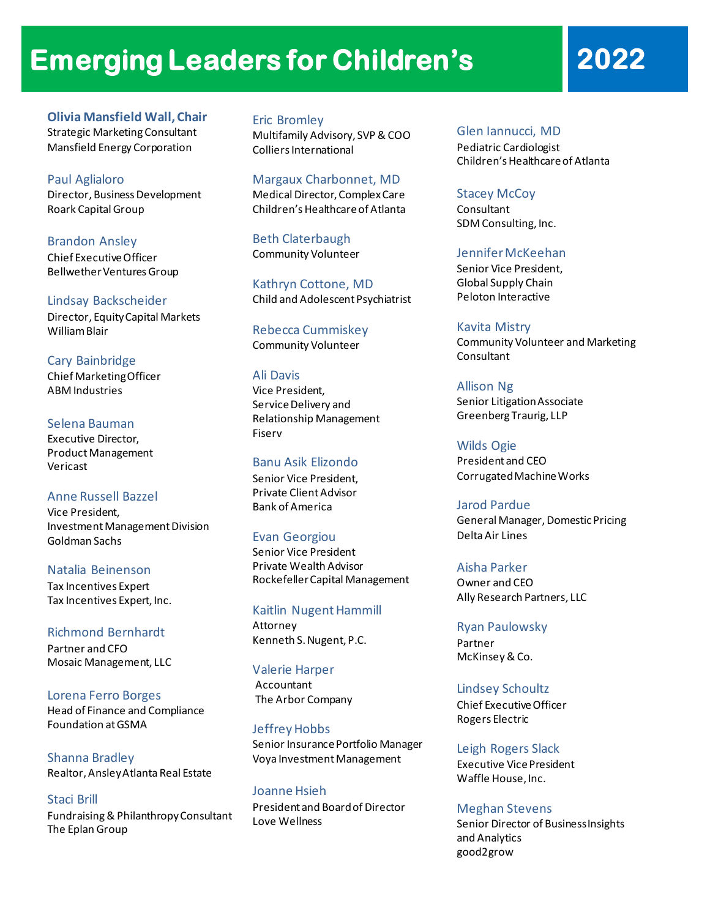# **Emerging Leaders for Children's 2022**

**Olivia Mansfield Wall, Chair** Strategic Marketing Consultant Mansfield Energy Corporation

Paul Aglialoro Director, Business Development Roark Capital Group

Brandon Ansley Chief Executive Officer Bellwether Ventures Group

Lindsay Backscheider Director, Equity Capital Markets William Blair

Cary Bainbridge Chief Marketing Officer ABM Industries

Selena Bauman Executive Director, Product Management Vericast

Anne Russell Bazzel Vice President, Investment Management Division Goldman Sachs

Natalia Beinenson Tax Incentives Expert Tax Incentives Expert, Inc.

Richmond Bernhardt Partner and CFO Mosaic Management, LLC

Lorena Ferro Borges Head of Finance and Compliance Foundation at GSMA

Shanna Bradley Realtor, Ansley Atlanta Real Estate

Staci Brill Fundraising &Philanthropy Consultant The Eplan Group

Eric Bromley Multifamily Advisory, SVP & COO Colliers International

Margaux Charbonnet, MD Medical Director, Complex Care Children's Healthcare of Atlanta

Beth Claterbaugh Community Volunteer

Kathryn Cottone, MD Child and Adolescent Psychiatrist

Rebecca Cummiskey Community Volunteer

# Ali Davis

Vice President, Service Delivery and Relationship Management Fiserv

# Banu Asik Elizondo

Senior Vice President, Private Client Advisor Bank of America

# Evan Georgiou

Senior Vice President Private Wealth Advisor Rockefeller Capital Management

Kaitlin Nugent Hammill Attorney Kenneth S. Nugent, P.C.

Valerie Harper Accountant The Arbor Company

Jeffrey Hobbs Senior Insurance Portfolio Manager Voya Investment Management

Joanne Hsieh President and Board of Director Love Wellness

Glen Iannucci, MD

Pediatric Cardiologist Children's Healthcare of Atlanta

#### Stacey McCoy

Consultant SDM Consulting, Inc.

Jennifer McKeehan

Senior Vice President, Global Supply Chain Peloton Interactive

Kavita Mistry Community Volunteer and Marketing Consultant

Allison Ng Senior Litigation Associate Greenberg Traurig, LLP

Wilds Ogie President and CEO Corrugated Machine Works

Jarod Pardue General Manager, Domestic Pricing Delta Air Lines

Aisha Parker Owner and CEO Ally Research Partners, LLC

Ryan Paulowsky Partner McKinsey & Co.

Lindsey Schoultz Chief Executive Officer Rogers Electric

Leigh Rogers Slack Executive Vice President Waffle House, Inc.

# Meghan Stevens

Senior Director of Business Insights and Analytics good2grow